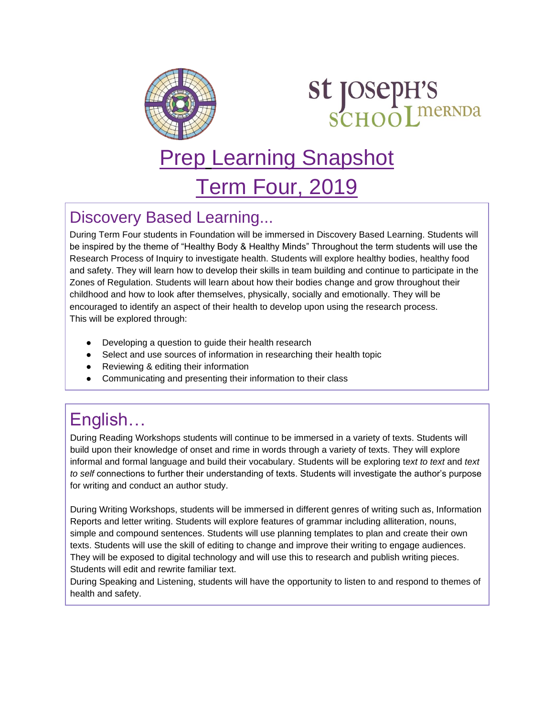

# **st JOSepH'S<br>SCHOOLIMERNDA**

# Prep Learning Snapshot

Term Four, 2019

#### Discovery Based Learning...

During Term Four students in Foundation will be immersed in Discovery Based Learning. Students will be inspired by the theme of "Healthy Body & Healthy Minds" Throughout the term students will use the Research Process of Inquiry to investigate health. Students will explore healthy bodies, healthy food and safety. They will learn how to develop their skills in team building and continue to participate in the Zones of Regulation. Students will learn about how their bodies change and grow throughout their childhood and how to look after themselves, physically, socially and emotionally. They will be encouraged to identify an aspect of their health to develop upon using the research process. This will be explored through:

- Developing a question to guide their health research
- Select and use sources of information in researching their health topic
- Reviewing & editing their information
- Communicating and presenting their information to their class

## English…

During Reading Workshops students will continue to be immersed in a variety of texts. Students will build upon their knowledge of onset and rime in words through a variety of texts. They will explore informal and formal language and build their vocabulary. Students will be exploring t*ext to text* and *text to self* connections to further their understanding of texts. Students will investigate the author's purpose for writing and conduct an author study.

During Writing Workshops, students will be immersed in different genres of writing such as, Information Reports and letter writing. Students will explore features of grammar including alliteration, nouns, simple and compound sentences. Students will use planning templates to plan and create their own texts. Students will use the skill of editing to change and improve their writing to engage audiences. They will be exposed to digital technology and will use this to research and publish writing pieces. Students will edit and rewrite familiar text.

During Speaking and Listening, students will have the opportunity to listen to and respond to themes of health and safety.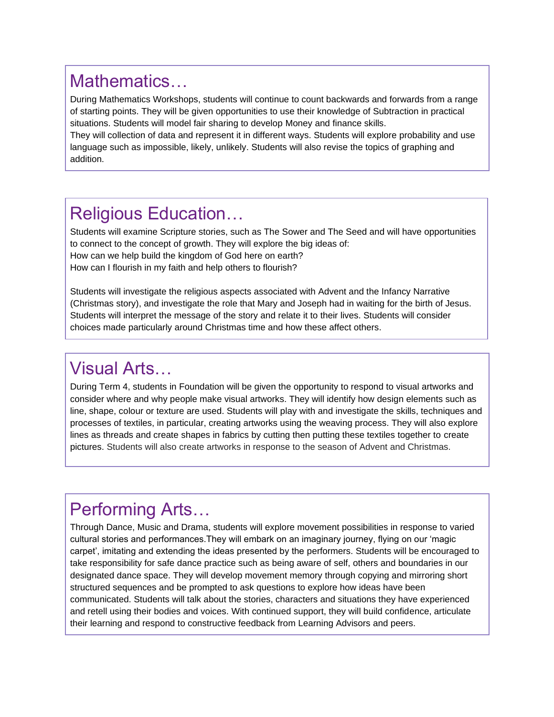#### Mathematics…

During Mathematics Workshops, students will continue to count backwards and forwards from a range of starting points. They will be given opportunities to use their knowledge of Subtraction in practical situations. Students will model fair sharing to develop Money and finance skills.

They will collection of data and represent it in different ways. Students will explore probability and use language such as impossible, likely, unlikely. Students will also revise the topics of graphing and addition.

#### Religious Education…

Students will examine Scripture stories, such as The Sower and The Seed and will have opportunities to connect to the concept of growth. They will explore the big ideas of: How can we help build the kingdom of God here on earth?

How can I flourish in my faith and help others to flourish?

Students will investigate the religious aspects associated with Advent and the Infancy Narrative (Christmas story), and investigate the role that Mary and Joseph had in waiting for the birth of Jesus. Students will interpret the message of the story and relate it to their lives. Students will consider choices made particularly around Christmas time and how these affect others.

#### Visual Arts…

During Term 4, students in Foundation will be given the opportunity to respond to visual artworks and consider where and why people make visual artworks. They will identify how design elements such as line, shape, colour or texture are used. Students will play with and investigate the skills, techniques and processes of textiles, in particular, creating artworks using the weaving process. They will also explore lines as threads and create shapes in fabrics by cutting then putting these textiles together to create pictures. Students will also create artworks in response to the season of Advent and Christmas.

### Performing Arts…

Through Dance, Music and Drama, students will explore movement possibilities in response to varied cultural stories and performances.They will embark on an imaginary journey, flying on our 'magic carpet', imitating and extending the ideas presented by the performers. Students will be encouraged to take responsibility for safe dance practice such as being aware of self, others and boundaries in our designated dance space. They will develop movement memory through copying and mirroring short structured sequences and be prompted to ask questions to explore how ideas have been communicated. Students will talk about the stories, characters and situations they have experienced and retell using their bodies and voices. With continued support, they will build confidence, articulate their learning and respond to constructive feedback from Learning Advisors and peers.